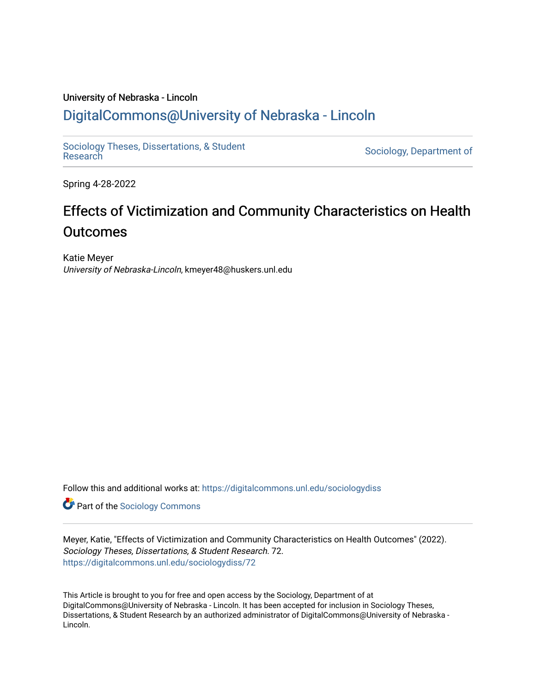# University of Nebraska - Lincoln [DigitalCommons@University of Nebraska - Lincoln](https://digitalcommons.unl.edu/)

[Sociology Theses, Dissertations, & Student](https://digitalcommons.unl.edu/sociologydiss)

Sociology, Department of

Spring 4-28-2022

# Effects of Victimization and Community Characteristics on Health **Outcomes**

Katie Meyer University of Nebraska-Lincoln, kmeyer48@huskers.unl.edu

Follow this and additional works at: [https://digitalcommons.unl.edu/sociologydiss](https://digitalcommons.unl.edu/sociologydiss?utm_source=digitalcommons.unl.edu%2Fsociologydiss%2F72&utm_medium=PDF&utm_campaign=PDFCoverPages) 

**Part of the [Sociology Commons](http://network.bepress.com/hgg/discipline/416?utm_source=digitalcommons.unl.edu%2Fsociologydiss%2F72&utm_medium=PDF&utm_campaign=PDFCoverPages)** 

Meyer, Katie, "Effects of Victimization and Community Characteristics on Health Outcomes" (2022). Sociology Theses, Dissertations, & Student Research. 72. [https://digitalcommons.unl.edu/sociologydiss/72](https://digitalcommons.unl.edu/sociologydiss/72?utm_source=digitalcommons.unl.edu%2Fsociologydiss%2F72&utm_medium=PDF&utm_campaign=PDFCoverPages)

This Article is brought to you for free and open access by the Sociology, Department of at DigitalCommons@University of Nebraska - Lincoln. It has been accepted for inclusion in Sociology Theses, Dissertations, & Student Research by an authorized administrator of DigitalCommons@University of Nebraska - Lincoln.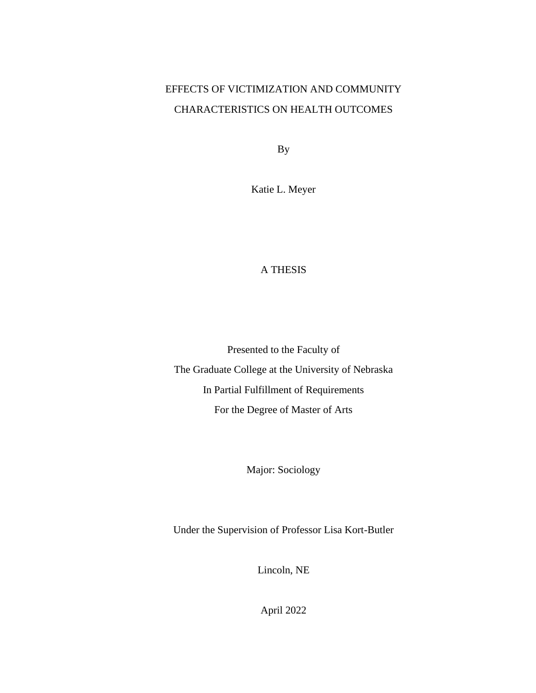# EFFECTS OF VICTIMIZATION AND COMMUNITY CHARACTERISTICS ON HEALTH OUTCOMES

By

Katie L. Meyer

# A THESIS

Presented to the Faculty of The Graduate College at the University of Nebraska In Partial Fulfillment of Requirements For the Degree of Master of Arts

Major: Sociology

Under the Supervision of Professor Lisa Kort-Butler

Lincoln, NE

April 2022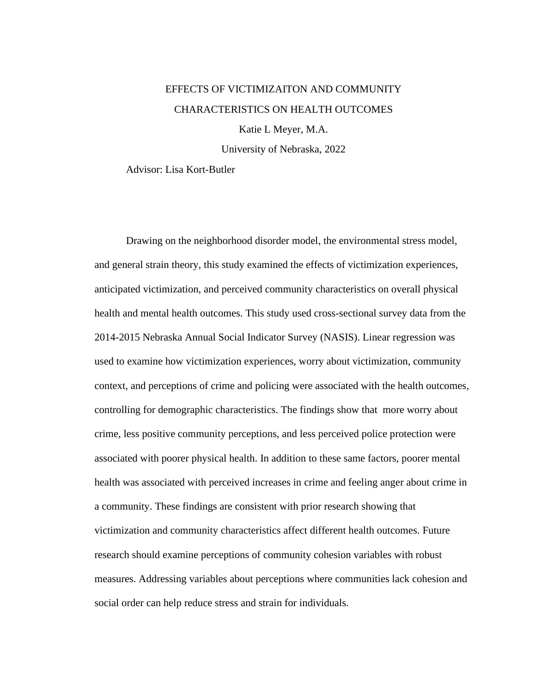# EFFECTS OF VICTIMIZAITON AND COMMUNITY CHARACTERISTICS ON HEALTH OUTCOMES

Katie L Meyer, M.A.

University of Nebraska, 2022

Advisor: Lisa Kort-Butler

Drawing on the neighborhood disorder model, the environmental stress model, and general strain theory, this study examined the effects of victimization experiences, anticipated victimization, and perceived community characteristics on overall physical health and mental health outcomes. This study used cross-sectional survey data from the 2014-2015 Nebraska Annual Social Indicator Survey (NASIS). Linear regression was used to examine how victimization experiences, worry about victimization, community context, and perceptions of crime and policing were associated with the health outcomes, controlling for demographic characteristics. The findings show that more worry about crime, less positive community perceptions, and less perceived police protection were associated with poorer physical health. In addition to these same factors, poorer mental health was associated with perceived increases in crime and feeling anger about crime in a community. These findings are consistent with prior research showing that victimization and community characteristics affect different health outcomes. Future research should examine perceptions of community cohesion variables with robust measures. Addressing variables about perceptions where communities lack cohesion and social order can help reduce stress and strain for individuals.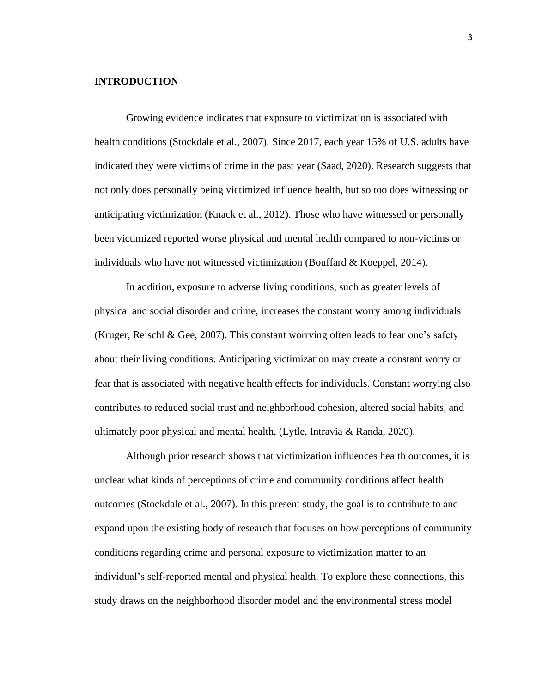### **INTRODUCTION**

Growing evidence indicates that exposure to victimization is associated with health conditions (Stockdale et al., 2007). Since 2017, each year 15% of U.S. adults have indicated they were victims of crime in the past year (Saad, 2020). Research suggests that not only does personally being victimized influence health, but so too does witnessing or anticipating victimization (Knack et al., 2012). Those who have witnessed or personally been victimized reported worse physical and mental health compared to non-victims or individuals who have not witnessed victimization (Bouffard  $&$  Koeppel, 2014).

In addition, exposure to adverse living conditions, such as greater levels of physical and social disorder and crime, increases the constant worry among individuals (Kruger, Reischl & Gee, 2007). This constant worrying often leads to fear one's safety about their living conditions. Anticipating victimization may create a constant worry or fear that is associated with negative health effects for individuals. Constant worrying also contributes to reduced social trust and neighborhood cohesion, altered social habits, and ultimately poor physical and mental health, (Lytle, Intravia & Randa, 2020).

Although prior research shows that victimization influences health outcomes, it is unclear what kinds of perceptions of crime and community conditions affect health outcomes (Stockdale et al., 2007). In this present study, the goal is to contribute to and expand upon the existing body of research that focuses on how perceptions of community conditions regarding crime and personal exposure to victimization matter to an individual's self-reported mental and physical health. To explore these connections, this study draws on the neighborhood disorder model and the environmental stress model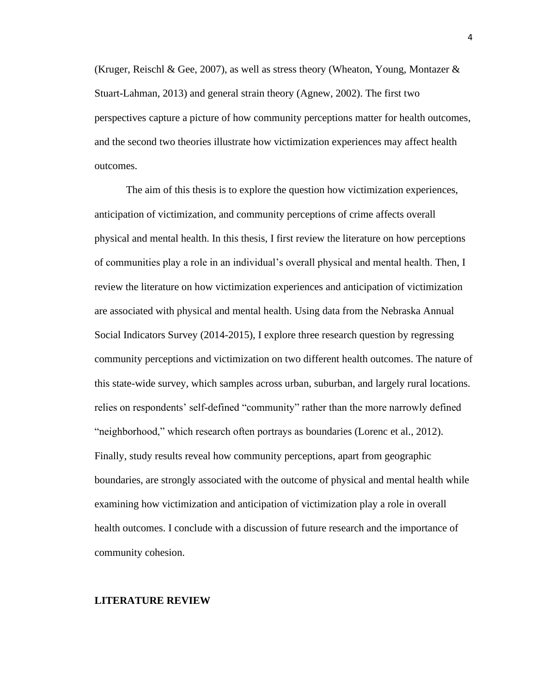(Kruger, Reischl & Gee, 2007), as well as stress theory (Wheaton, Young, Montazer  $\&$ Stuart-Lahman, 2013) and general strain theory (Agnew, 2002). The first two perspectives capture a picture of how community perceptions matter for health outcomes, and the second two theories illustrate how victimization experiences may affect health outcomes.

The aim of this thesis is to explore the question how victimization experiences, anticipation of victimization, and community perceptions of crime affects overall physical and mental health. In this thesis, I first review the literature on how perceptions of communities play a role in an individual's overall physical and mental health. Then, I review the literature on how victimization experiences and anticipation of victimization are associated with physical and mental health. Using data from the Nebraska Annual Social Indicators Survey (2014-2015), I explore three research question by regressing community perceptions and victimization on two different health outcomes. The nature of this state-wide survey, which samples across urban, suburban, and largely rural locations. relies on respondents' self-defined "community" rather than the more narrowly defined "neighborhood," which research often portrays as boundaries (Lorenc et al., 2012). Finally, study results reveal how community perceptions, apart from geographic boundaries, are strongly associated with the outcome of physical and mental health while examining how victimization and anticipation of victimization play a role in overall health outcomes. I conclude with a discussion of future research and the importance of community cohesion.

### **LITERATURE REVIEW**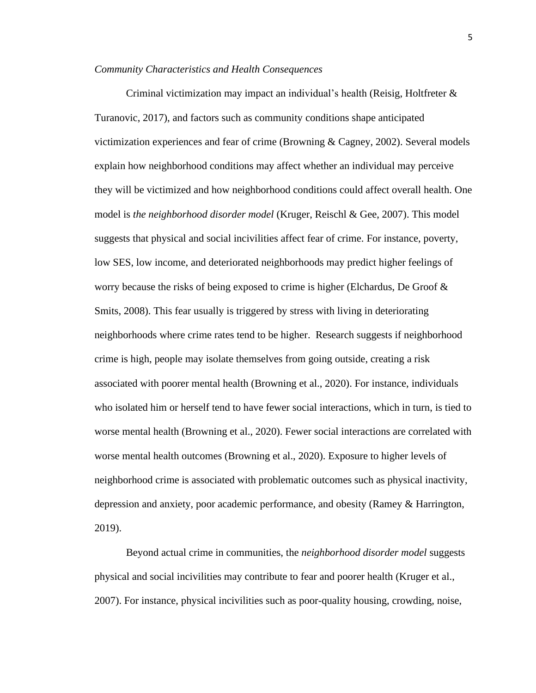#### *Community Characteristics and Health Consequences*

Criminal victimization may impact an individual's health (Reisig, Holtfreter & Turanovic, 2017), and factors such as community conditions shape anticipated victimization experiences and fear of crime (Browning & Cagney, 2002). Several models explain how neighborhood conditions may affect whether an individual may perceive they will be victimized and how neighborhood conditions could affect overall health. One model is *the neighborhood disorder model* (Kruger, Reischl & Gee, 2007). This model suggests that physical and social incivilities affect fear of crime. For instance, poverty, low SES, low income, and deteriorated neighborhoods may predict higher feelings of worry because the risks of being exposed to crime is higher (Elchardus, De Groof  $\&$ Smits, 2008). This fear usually is triggered by stress with living in deteriorating neighborhoods where crime rates tend to be higher. Research suggests if neighborhood crime is high, people may isolate themselves from going outside, creating a risk associated with poorer mental health (Browning et al., 2020). For instance, individuals who isolated him or herself tend to have fewer social interactions, which in turn, is tied to worse mental health (Browning et al., 2020). Fewer social interactions are correlated with worse mental health outcomes (Browning et al., 2020). Exposure to higher levels of neighborhood crime is associated with problematic outcomes such as physical inactivity, depression and anxiety, poor academic performance, and obesity (Ramey & Harrington, 2019).

Beyond actual crime in communities, the *neighborhood disorder model* suggests physical and social incivilities may contribute to fear and poorer health (Kruger et al., 2007). For instance, physical incivilities such as poor-quality housing, crowding, noise,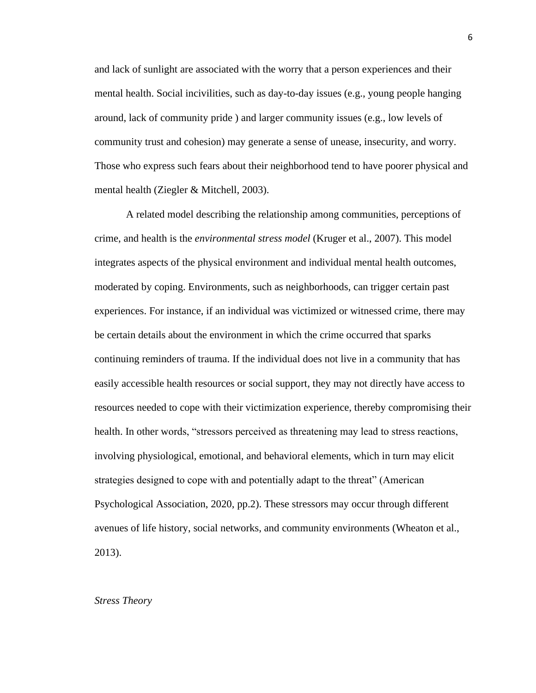and lack of sunlight are associated with the worry that a person experiences and their mental health. Social incivilities, such as day-to-day issues (e.g., young people hanging around, lack of community pride ) and larger community issues (e.g., low levels of community trust and cohesion) may generate a sense of unease, insecurity, and worry. Those who express such fears about their neighborhood tend to have poorer physical and mental health (Ziegler & Mitchell, 2003).

A related model describing the relationship among communities, perceptions of crime, and health is the *environmental stress model* (Kruger et al., 2007). This model integrates aspects of the physical environment and individual mental health outcomes, moderated by coping. Environments, such as neighborhoods, can trigger certain past experiences. For instance, if an individual was victimized or witnessed crime, there may be certain details about the environment in which the crime occurred that sparks continuing reminders of trauma. If the individual does not live in a community that has easily accessible health resources or social support, they may not directly have access to resources needed to cope with their victimization experience, thereby compromising their health. In other words, "stressors perceived as threatening may lead to stress reactions, involving physiological, emotional, and behavioral elements, which in turn may elicit strategies designed to cope with and potentially adapt to the threat" (American Psychological Association, 2020, pp.2). These stressors may occur through different avenues of life history, social networks, and community environments (Wheaton et al., 2013).

# *Stress Theory*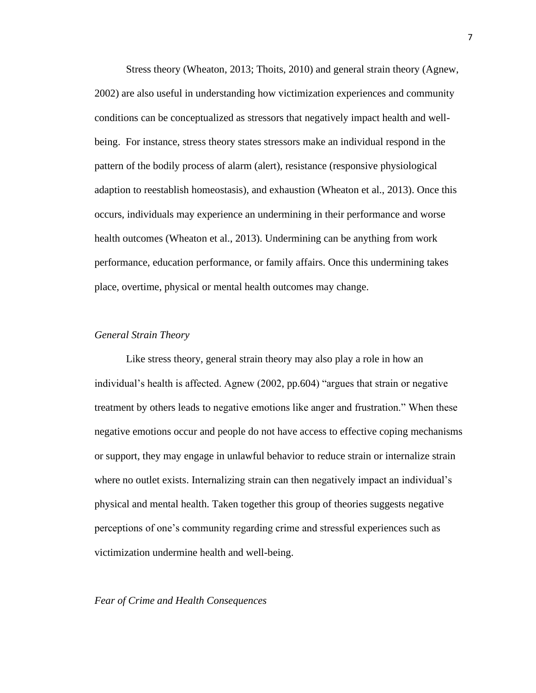Stress theory (Wheaton, 2013; Thoits, 2010) and general strain theory (Agnew, 2002) are also useful in understanding how victimization experiences and community conditions can be conceptualized as stressors that negatively impact health and wellbeing. For instance, stress theory states stressors make an individual respond in the pattern of the bodily process of alarm (alert), resistance (responsive physiological adaption to reestablish homeostasis), and exhaustion (Wheaton et al., 2013). Once this occurs, individuals may experience an undermining in their performance and worse health outcomes (Wheaton et al., 2013). Undermining can be anything from work performance, education performance, or family affairs. Once this undermining takes place, overtime, physical or mental health outcomes may change.

#### *General Strain Theory*

Like stress theory, general strain theory may also play a role in how an individual's health is affected. Agnew (2002, pp.604) "argues that strain or negative treatment by others leads to negative emotions like anger and frustration." When these negative emotions occur and people do not have access to effective coping mechanisms or support, they may engage in unlawful behavior to reduce strain or internalize strain where no outlet exists. Internalizing strain can then negatively impact an individual's physical and mental health. Taken together this group of theories suggests negative perceptions of one's community regarding crime and stressful experiences such as victimization undermine health and well-being.

# *Fear of Crime and Health Consequences*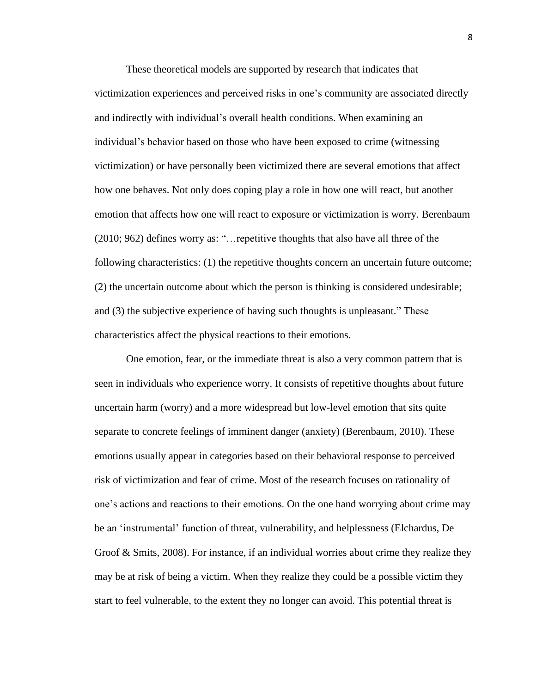These theoretical models are supported by research that indicates that victimization experiences and perceived risks in one's community are associated directly and indirectly with individual's overall health conditions. When examining an individual's behavior based on those who have been exposed to crime (witnessing victimization) or have personally been victimized there are several emotions that affect how one behaves. Not only does coping play a role in how one will react, but another emotion that affects how one will react to exposure or victimization is worry. Berenbaum (2010; 962) defines worry as: "…repetitive thoughts that also have all three of the following characteristics: (1) the repetitive thoughts concern an uncertain future outcome; (2) the uncertain outcome about which the person is thinking is considered undesirable; and (3) the subjective experience of having such thoughts is unpleasant." These characteristics affect the physical reactions to their emotions.

One emotion, fear, or the immediate threat is also a very common pattern that is seen in individuals who experience worry. It consists of repetitive thoughts about future uncertain harm (worry) and a more widespread but low-level emotion that sits quite separate to concrete feelings of imminent danger (anxiety) (Berenbaum, 2010). These emotions usually appear in categories based on their behavioral response to perceived risk of victimization and fear of crime. Most of the research focuses on rationality of one's actions and reactions to their emotions. On the one hand worrying about crime may be an 'instrumental' function of threat, vulnerability, and helplessness (Elchardus, De Groof & Smits, 2008). For instance, if an individual worries about crime they realize they may be at risk of being a victim. When they realize they could be a possible victim they start to feel vulnerable, to the extent they no longer can avoid. This potential threat is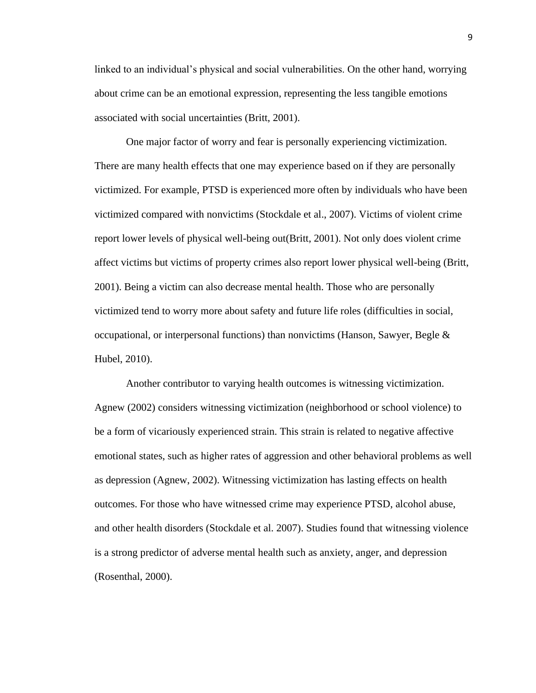linked to an individual's physical and social vulnerabilities. On the other hand, worrying about crime can be an emotional expression, representing the less tangible emotions associated with social uncertainties (Britt, 2001).

One major factor of worry and fear is personally experiencing victimization. There are many health effects that one may experience based on if they are personally victimized. For example, PTSD is experienced more often by individuals who have been victimized compared with nonvictims (Stockdale et al., 2007). Victims of violent crime report lower levels of physical well-being out(Britt, 2001). Not only does violent crime affect victims but victims of property crimes also report lower physical well-being (Britt, 2001). Being a victim can also decrease mental health. Those who are personally victimized tend to worry more about safety and future life roles (difficulties in social, occupational, or interpersonal functions) than nonvictims (Hanson, Sawyer, Begle  $\&$ Hubel, 2010).

Another contributor to varying health outcomes is witnessing victimization. Agnew (2002) considers witnessing victimization (neighborhood or school violence) to be a form of vicariously experienced strain. This strain is related to negative affective emotional states, such as higher rates of aggression and other behavioral problems as well as depression (Agnew, 2002). Witnessing victimization has lasting effects on health outcomes. For those who have witnessed crime may experience PTSD, alcohol abuse, and other health disorders (Stockdale et al. 2007). Studies found that witnessing violence is a strong predictor of adverse mental health such as anxiety, anger, and depression (Rosenthal, 2000).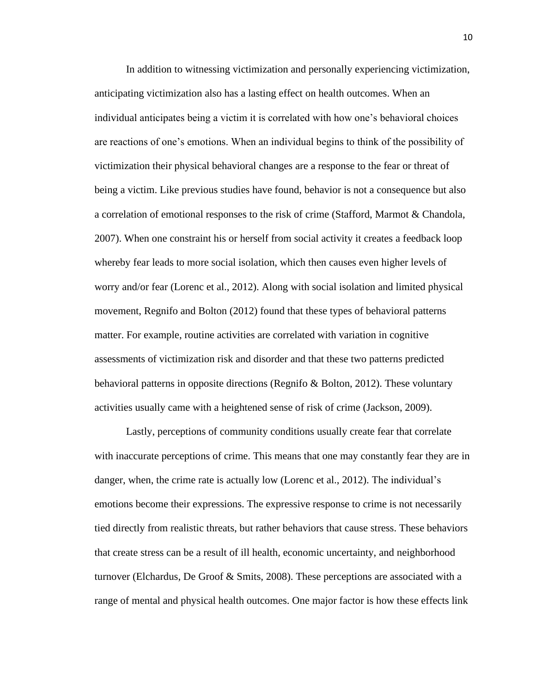In addition to witnessing victimization and personally experiencing victimization, anticipating victimization also has a lasting effect on health outcomes. When an individual anticipates being a victim it is correlated with how one's behavioral choices are reactions of one's emotions. When an individual begins to think of the possibility of victimization their physical behavioral changes are a response to the fear or threat of being a victim. Like previous studies have found, behavior is not a consequence but also a correlation of emotional responses to the risk of crime (Stafford, Marmot & Chandola, 2007). When one constraint his or herself from social activity it creates a feedback loop whereby fear leads to more social isolation, which then causes even higher levels of worry and/or fear (Lorenc et al., 2012). Along with social isolation and limited physical movement, Regnifo and Bolton (2012) found that these types of behavioral patterns matter. For example, routine activities are correlated with variation in cognitive assessments of victimization risk and disorder and that these two patterns predicted behavioral patterns in opposite directions (Regnifo & Bolton, 2012). These voluntary activities usually came with a heightened sense of risk of crime (Jackson, 2009).

Lastly, perceptions of community conditions usually create fear that correlate with inaccurate perceptions of crime. This means that one may constantly fear they are in danger, when, the crime rate is actually low (Lorenc et al., 2012). The individual's emotions become their expressions. The expressive response to crime is not necessarily tied directly from realistic threats, but rather behaviors that cause stress. These behaviors that create stress can be a result of ill health, economic uncertainty, and neighborhood turnover (Elchardus, De Groof & Smits, 2008). These perceptions are associated with a range of mental and physical health outcomes. One major factor is how these effects link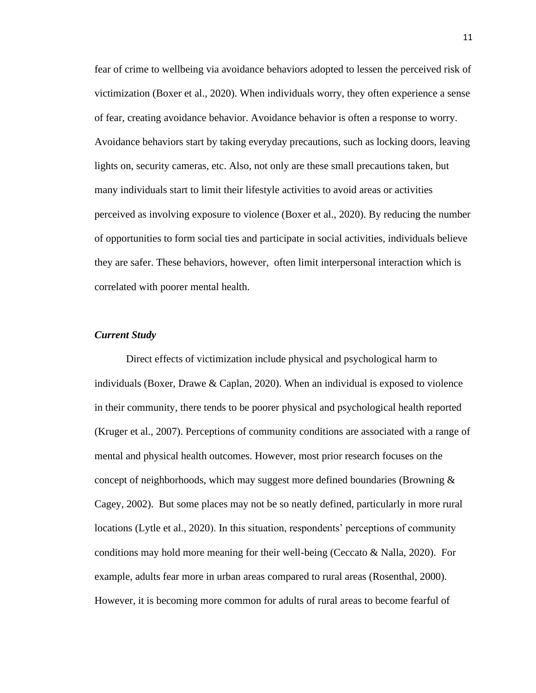fear of crime to wellbeing via avoidance behaviors adopted to lessen the perceived risk of victimization (Boxer et al., 2020). When individuals worry, they often experience a sense of fear, creating avoidance behavior. Avoidance behavior is often a response to worry. Avoidance behaviors start by taking everyday precautions, such as locking doors, leaving lights on, security cameras, etc. Also, not only are these small precautions taken, but many individuals start to limit their lifestyle activities to avoid areas or activities perceived as involving exposure to violence (Boxer et al., 2020). By reducing the number of opportunities to form social ties and participate in social activities, individuals believe they are safer. These behaviors, however, often limit interpersonal interaction which is correlated with poorer mental health.

#### *Current Study*

Direct effects of victimization include physical and psychological harm to individuals (Boxer, Drawe & Caplan, 2020). When an individual is exposed to violence in their community, there tends to be poorer physical and psychological health reported (Kruger et al., 2007). Perceptions of community conditions are associated with a range of mental and physical health outcomes. However, most prior research focuses on the concept of neighborhoods, which may suggest more defined boundaries (Browning  $\&$ Cagey, 2002). But some places may not be so neatly defined, particularly in more rural locations (Lytle et al., 2020). In this situation, respondents' perceptions of community conditions may hold more meaning for their well-being (Ceccato  $\&$  Nalla, 2020). For example, adults fear more in urban areas compared to rural areas (Rosenthal, 2000). However, it is becoming more common for adults of rural areas to become fearful of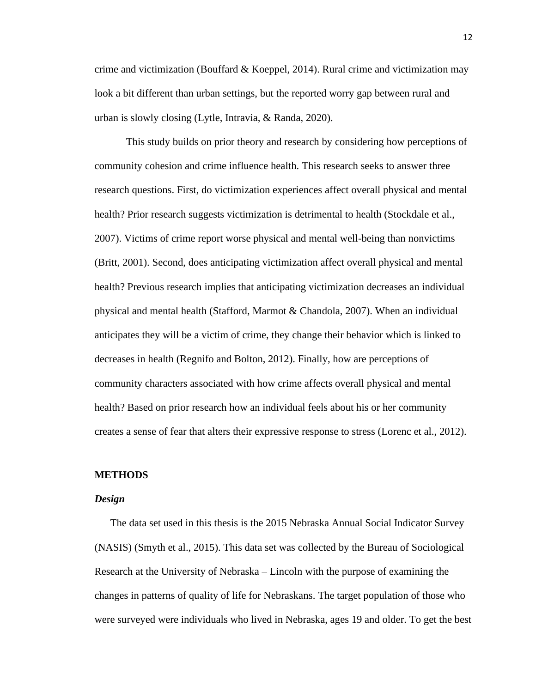crime and victimization (Bouffard & Koeppel, 2014). Rural crime and victimization may look a bit different than urban settings, but the reported worry gap between rural and urban is slowly closing (Lytle, Intravia, & Randa, 2020).

This study builds on prior theory and research by considering how perceptions of community cohesion and crime influence health. This research seeks to answer three research questions. First, do victimization experiences affect overall physical and mental health? Prior research suggests victimization is detrimental to health (Stockdale et al., 2007). Victims of crime report worse physical and mental well-being than nonvictims (Britt, 2001). Second, does anticipating victimization affect overall physical and mental health? Previous research implies that anticipating victimization decreases an individual physical and mental health (Stafford, Marmot & Chandola, 2007). When an individual anticipates they will be a victim of crime, they change their behavior which is linked to decreases in health (Regnifo and Bolton, 2012). Finally, how are perceptions of community characters associated with how crime affects overall physical and mental health? Based on prior research how an individual feels about his or her community creates a sense of fear that alters their expressive response to stress (Lorenc et al., 2012).

#### **METHODS**

#### *Design*

The data set used in this thesis is the 2015 Nebraska Annual Social Indicator Survey (NASIS) (Smyth et al., 2015). This data set was collected by the Bureau of Sociological Research at the University of Nebraska – Lincoln with the purpose of examining the changes in patterns of quality of life for Nebraskans. The target population of those who were surveyed were individuals who lived in Nebraska, ages 19 and older. To get the best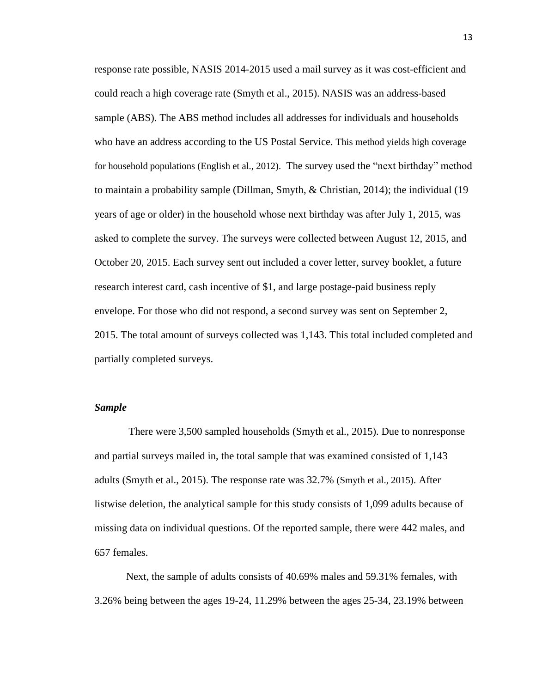response rate possible, NASIS 2014-2015 used a mail survey as it was cost-efficient and could reach a high coverage rate (Smyth et al., 2015). NASIS was an address-based sample (ABS). The ABS method includes all addresses for individuals and households who have an address according to the US Postal Service. This method yields high coverage for household populations (English et al., 2012). The survey used the "next birthday" method to maintain a probability sample (Dillman, Smyth, & Christian, 2014); the individual (19 years of age or older) in the household whose next birthday was after July 1, 2015, was asked to complete the survey. The surveys were collected between August 12, 2015, and October 20, 2015. Each survey sent out included a cover letter, survey booklet, a future research interest card, cash incentive of \$1, and large postage-paid business reply envelope. For those who did not respond, a second survey was sent on September 2, 2015. The total amount of surveys collected was 1,143. This total included completed and partially completed surveys.

# *Sample*

There were 3,500 sampled households (Smyth et al., 2015). Due to nonresponse and partial surveys mailed in, the total sample that was examined consisted of 1,143 adults (Smyth et al., 2015). The response rate was 32.7% (Smyth et al., 2015). After listwise deletion, the analytical sample for this study consists of 1,099 adults because of missing data on individual questions. Of the reported sample, there were 442 males, and 657 females.

Next, the sample of adults consists of 40.69% males and 59.31% females, with 3.26% being between the ages 19-24, 11.29% between the ages 25-34, 23.19% between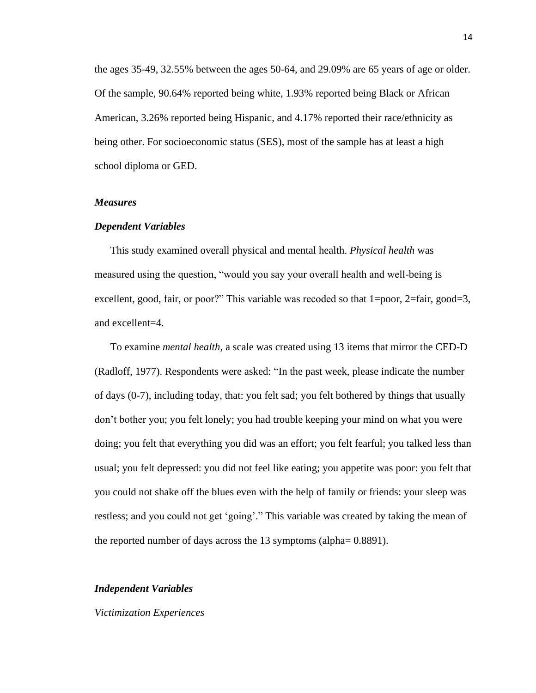the ages 35-49, 32.55% between the ages 50-64, and 29.09% are 65 years of age or older. Of the sample, 90.64% reported being white, 1.93% reported being Black or African American, 3.26% reported being Hispanic, and 4.17% reported their race/ethnicity as being other. For socioeconomic status (SES), most of the sample has at least a high school diploma or GED.

# *Measures*

#### *Dependent Variables*

This study examined overall physical and mental health. *Physical health* was measured using the question, "would you say your overall health and well-being is excellent, good, fair, or poor?" This variable was recoded so that 1=poor, 2=fair, good=3, and excellent=4.

To examine *mental health*, a scale was created using 13 items that mirror the CED-D (Radloff, 1977). Respondents were asked: "In the past week, please indicate the number of days (0-7), including today, that: you felt sad; you felt bothered by things that usually don't bother you; you felt lonely; you had trouble keeping your mind on what you were doing; you felt that everything you did was an effort; you felt fearful; you talked less than usual; you felt depressed: you did not feel like eating; you appetite was poor: you felt that you could not shake off the blues even with the help of family or friends: your sleep was restless; and you could not get 'going'." This variable was created by taking the mean of the reported number of days across the 13 symptoms (alpha= 0.8891).

#### *Independent Variables*

#### *Victimization Experiences*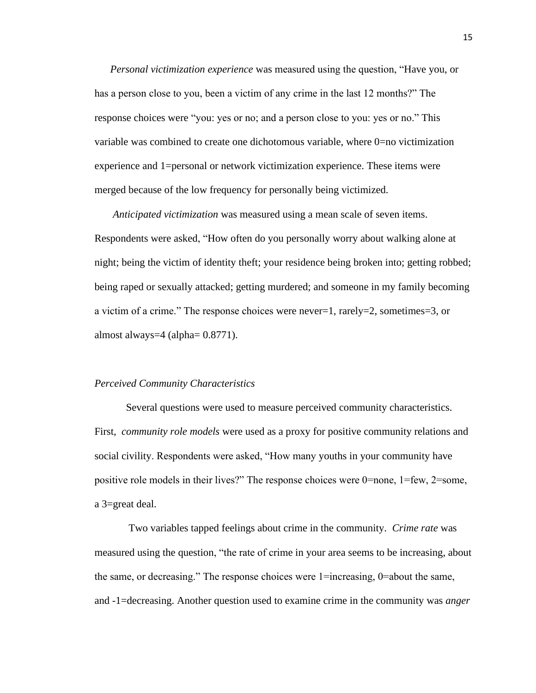*Personal victimization experience* was measured using the question, "Have you, or has a person close to you, been a victim of any crime in the last 12 months?" The response choices were "you: yes or no; and a person close to you: yes or no." This variable was combined to create one dichotomous variable, where 0=no victimization experience and 1=personal or network victimization experience. These items were merged because of the low frequency for personally being victimized.

*Anticipated victimization* was measured using a mean scale of seven items. Respondents were asked, "How often do you personally worry about walking alone at night; being the victim of identity theft; your residence being broken into; getting robbed; being raped or sexually attacked; getting murdered; and someone in my family becoming a victim of a crime." The response choices were never=1, rarely=2, sometimes=3, or almost always=4 (alpha= 0.8771).

#### *Perceived Community Characteristics*

Several questions were used to measure perceived community characteristics. First, *community role models* were used as a proxy for positive community relations and social civility. Respondents were asked, "How many youths in your community have positive role models in their lives?" The response choices were 0=none, 1=few, 2=some, a 3=great deal.

Two variables tapped feelings about crime in the community. *Crime rate* was measured using the question, "the rate of crime in your area seems to be increasing, about the same, or decreasing." The response choices were 1=increasing, 0=about the same, and -1=decreasing. Another question used to examine crime in the community was *anger*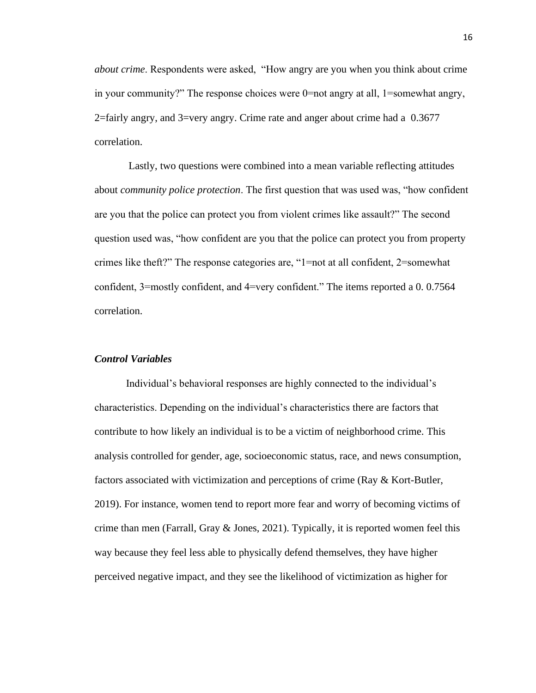*about crime*. Respondents were asked, "How angry are you when you think about crime in your community?" The response choices were  $0=$  mot angry at all, 1=somewhat angry, 2=fairly angry, and 3=very angry. Crime rate and anger about crime had a 0.3677 correlation.

Lastly, two questions were combined into a mean variable reflecting attitudes about *community police protection*. The first question that was used was, "how confident are you that the police can protect you from violent crimes like assault?" The second question used was, "how confident are you that the police can protect you from property crimes like theft?" The response categories are, "1=not at all confident, 2=somewhat confident, 3=mostly confident, and 4=very confident." The items reported a 0. 0.7564 correlation.

# *Control Variables*

Individual's behavioral responses are highly connected to the individual's characteristics. Depending on the individual's characteristics there are factors that contribute to how likely an individual is to be a victim of neighborhood crime. This analysis controlled for gender, age, socioeconomic status, race, and news consumption, factors associated with victimization and perceptions of crime (Ray & Kort-Butler, 2019). For instance, women tend to report more fear and worry of becoming victims of crime than men (Farrall, Gray  $\&$  Jones, 2021). Typically, it is reported women feel this way because they feel less able to physically defend themselves, they have higher perceived negative impact, and they see the likelihood of victimization as higher for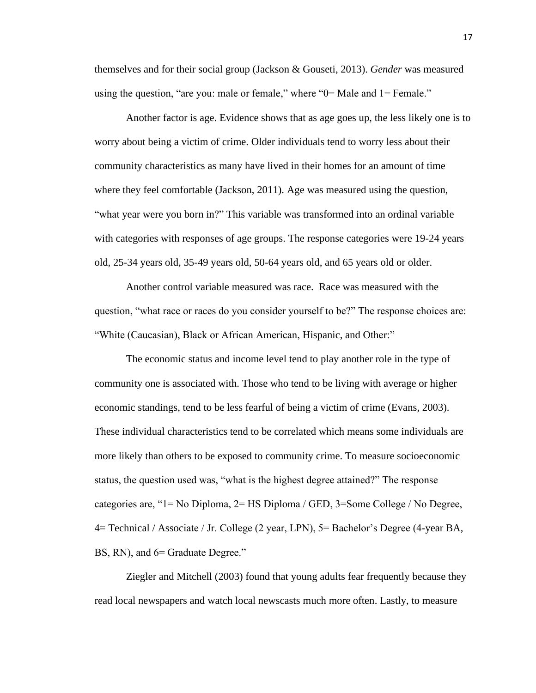themselves and for their social group (Jackson & Gouseti, 2013). *Gender* was measured using the question, "are you: male or female," where "0= Male and 1= Female."

Another factor is age. Evidence shows that as age goes up, the less likely one is to worry about being a victim of crime. Older individuals tend to worry less about their community characteristics as many have lived in their homes for an amount of time where they feel comfortable (Jackson, 2011). Age was measured using the question, "what year were you born in?" This variable was transformed into an ordinal variable with categories with responses of age groups. The response categories were 19-24 years old, 25-34 years old, 35-49 years old, 50-64 years old, and 65 years old or older.

Another control variable measured was race. Race was measured with the question, "what race or races do you consider yourself to be?" The response choices are: "White (Caucasian), Black or African American, Hispanic, and Other:"

The economic status and income level tend to play another role in the type of community one is associated with. Those who tend to be living with average or higher economic standings, tend to be less fearful of being a victim of crime (Evans, 2003). These individual characteristics tend to be correlated which means some individuals are more likely than others to be exposed to community crime. To measure socioeconomic status, the question used was, "what is the highest degree attained?" The response categories are, "1= No Diploma, 2= HS Diploma / GED, 3=Some College / No Degree, 4= Technical / Associate / Jr. College (2 year, LPN), 5= Bachelor's Degree (4-year BA, BS, RN), and  $6=$  Graduate Degree."

Ziegler and Mitchell (2003) found that young adults fear frequently because they read local newspapers and watch local newscasts much more often. Lastly, to measure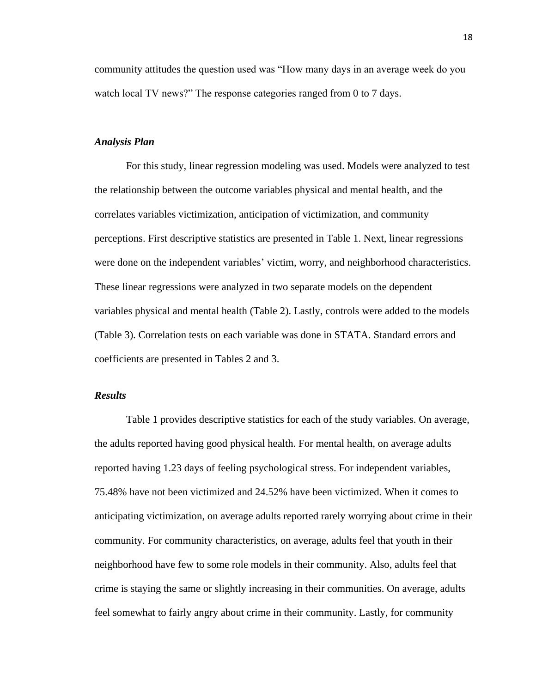community attitudes the question used was "How many days in an average week do you watch local TV news?" The response categories ranged from 0 to 7 days.

# *Analysis Plan*

For this study, linear regression modeling was used. Models were analyzed to test the relationship between the outcome variables physical and mental health, and the correlates variables victimization, anticipation of victimization, and community perceptions. First descriptive statistics are presented in Table 1. Next, linear regressions were done on the independent variables' victim, worry, and neighborhood characteristics. These linear regressions were analyzed in two separate models on the dependent variables physical and mental health (Table 2). Lastly, controls were added to the models (Table 3). Correlation tests on each variable was done in STATA. Standard errors and coefficients are presented in Tables 2 and 3.

### *Results*

Table 1 provides descriptive statistics for each of the study variables. On average, the adults reported having good physical health. For mental health, on average adults reported having 1.23 days of feeling psychological stress. For independent variables, 75.48% have not been victimized and 24.52% have been victimized. When it comes to anticipating victimization, on average adults reported rarely worrying about crime in their community. For community characteristics, on average, adults feel that youth in their neighborhood have few to some role models in their community. Also, adults feel that crime is staying the same or slightly increasing in their communities. On average, adults feel somewhat to fairly angry about crime in their community. Lastly, for community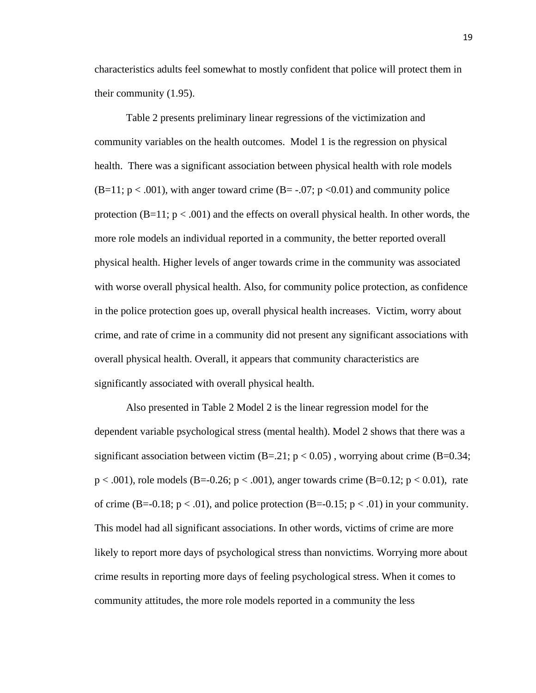characteristics adults feel somewhat to mostly confident that police will protect them in their community (1.95).

Table 2 presents preliminary linear regressions of the victimization and community variables on the health outcomes. Model 1 is the regression on physical health. There was a significant association between physical health with role models  $(B=11; p < .001)$ , with anger toward crime  $(B=-.07; p < .001)$  and community police protection  $(B=11; p < .001)$  and the effects on overall physical health. In other words, the more role models an individual reported in a community, the better reported overall physical health. Higher levels of anger towards crime in the community was associated with worse overall physical health. Also, for community police protection, as confidence in the police protection goes up, overall physical health increases. Victim, worry about crime, and rate of crime in a community did not present any significant associations with overall physical health. Overall, it appears that community characteristics are significantly associated with overall physical health.

Also presented in Table 2 Model 2 is the linear regression model for the dependent variable psychological stress (mental health). Model 2 shows that there was a significant association between victim  $(B=.21; p < 0.05)$ , worrying about crime  $(B=.0.34;$  $p < .001$ ), role models (B=-0.26;  $p < .001$ ), anger towards crime (B=0.12;  $p < 0.01$ ), rate of crime  $(B=-0.18; p < .01)$ , and police protection  $(B=-0.15; p < .01)$  in your community. This model had all significant associations. In other words, victims of crime are more likely to report more days of psychological stress than nonvictims. Worrying more about crime results in reporting more days of feeling psychological stress. When it comes to community attitudes, the more role models reported in a community the less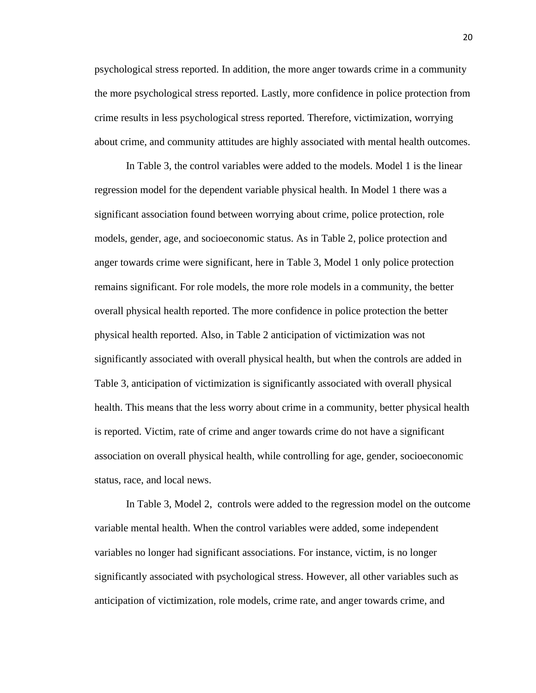psychological stress reported. In addition, the more anger towards crime in a community the more psychological stress reported. Lastly, more confidence in police protection from crime results in less psychological stress reported. Therefore, victimization, worrying about crime, and community attitudes are highly associated with mental health outcomes.

In Table 3, the control variables were added to the models. Model 1 is the linear regression model for the dependent variable physical health. In Model 1 there was a significant association found between worrying about crime, police protection, role models, gender, age, and socioeconomic status. As in Table 2, police protection and anger towards crime were significant, here in Table 3, Model 1 only police protection remains significant. For role models, the more role models in a community, the better overall physical health reported. The more confidence in police protection the better physical health reported. Also, in Table 2 anticipation of victimization was not significantly associated with overall physical health, but when the controls are added in Table 3, anticipation of victimization is significantly associated with overall physical health. This means that the less worry about crime in a community, better physical health is reported. Victim, rate of crime and anger towards crime do not have a significant association on overall physical health, while controlling for age, gender, socioeconomic status, race, and local news.

In Table 3, Model 2, controls were added to the regression model on the outcome variable mental health. When the control variables were added, some independent variables no longer had significant associations. For instance, victim, is no longer significantly associated with psychological stress. However, all other variables such as anticipation of victimization, role models, crime rate, and anger towards crime, and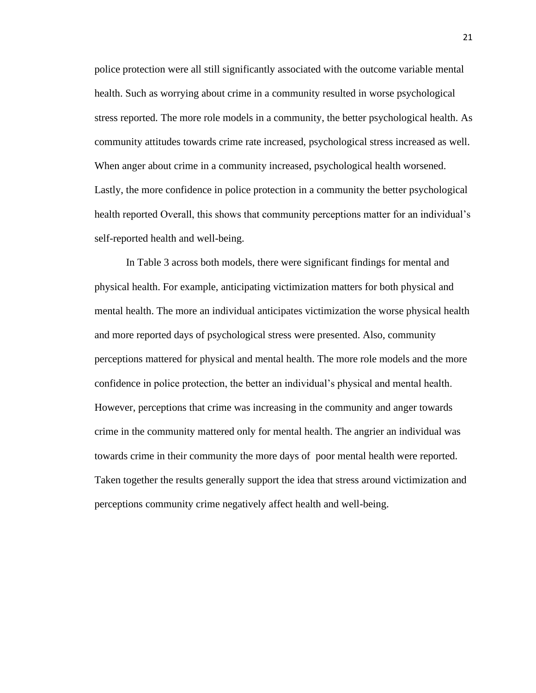police protection were all still significantly associated with the outcome variable mental health. Such as worrying about crime in a community resulted in worse psychological stress reported. The more role models in a community, the better psychological health. As community attitudes towards crime rate increased, psychological stress increased as well. When anger about crime in a community increased, psychological health worsened. Lastly, the more confidence in police protection in a community the better psychological health reported Overall, this shows that community perceptions matter for an individual's self-reported health and well-being.

In Table 3 across both models, there were significant findings for mental and physical health. For example, anticipating victimization matters for both physical and mental health. The more an individual anticipates victimization the worse physical health and more reported days of psychological stress were presented. Also, community perceptions mattered for physical and mental health. The more role models and the more confidence in police protection, the better an individual's physical and mental health. However, perceptions that crime was increasing in the community and anger towards crime in the community mattered only for mental health. The angrier an individual was towards crime in their community the more days of poor mental health were reported. Taken together the results generally support the idea that stress around victimization and perceptions community crime negatively affect health and well-being.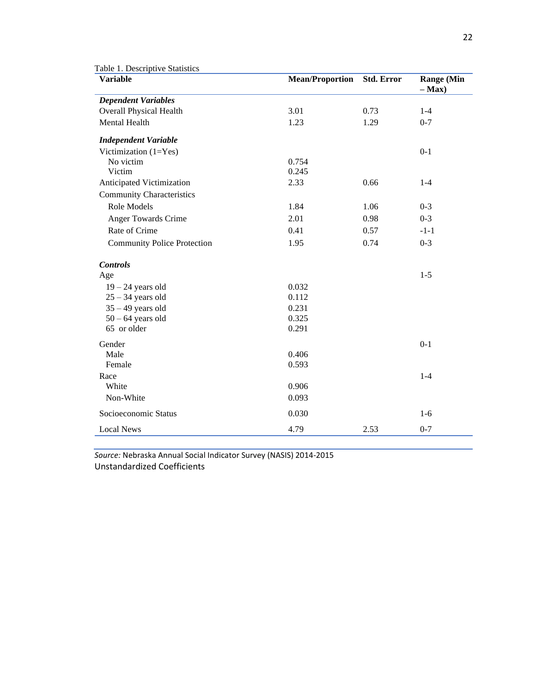| <b>Variable</b>                    | <b>Mean/Proportion</b> | <b>Std. Error</b> | <b>Range (Min</b><br>$-$ Max $)$ |
|------------------------------------|------------------------|-------------------|----------------------------------|
| <b>Dependent Variables</b>         |                        |                   |                                  |
| Overall Physical Health            | 3.01                   | 0.73              | $1 - 4$                          |
| <b>Mental Health</b>               | 1.23                   | 1.29              | $0 - 7$                          |
| <b>Independent Variable</b>        |                        |                   |                                  |
| Victimization $(1=Yes)$            |                        |                   | $0 - 1$                          |
| No victim                          | 0.754                  |                   |                                  |
| Victim                             | 0.245                  |                   |                                  |
| Anticipated Victimization          | 2.33                   | 0.66              | $1 - 4$                          |
| <b>Community Characteristics</b>   |                        |                   |                                  |
| Role Models                        | 1.84                   | 1.06              | $0 - 3$                          |
| Anger Towards Crime                | 2.01                   | 0.98              | $0 - 3$                          |
| Rate of Crime                      | 0.41                   | 0.57              | $-1-1$                           |
| <b>Community Police Protection</b> | 1.95                   | 0.74              | $0 - 3$                          |
| <b>Controls</b>                    |                        |                   |                                  |
| Age                                |                        |                   | $1 - 5$                          |
| $19 - 24$ years old                | 0.032                  |                   |                                  |
| $25 - 34$ years old                | 0.112                  |                   |                                  |
| $35 - 49$ years old                | 0.231                  |                   |                                  |
| $50 - 64$ years old                | 0.325                  |                   |                                  |
| 65 or older                        | 0.291                  |                   |                                  |
| Gender                             |                        |                   | $0 - 1$                          |
| Male                               | 0.406                  |                   |                                  |
| Female                             | 0.593                  |                   |                                  |
| Race                               |                        |                   | $1 - 4$                          |
| White                              | 0.906                  |                   |                                  |
| Non-White                          | 0.093                  |                   |                                  |
| Socioeconomic Status               | 0.030                  |                   | $1-6$                            |
| <b>Local News</b>                  | 4.79                   | 2.53              | $0 - 7$                          |

*Source:* Nebraska Annual Social Indicator Survey (NASIS) 2014-2015 Unstandardized Coefficients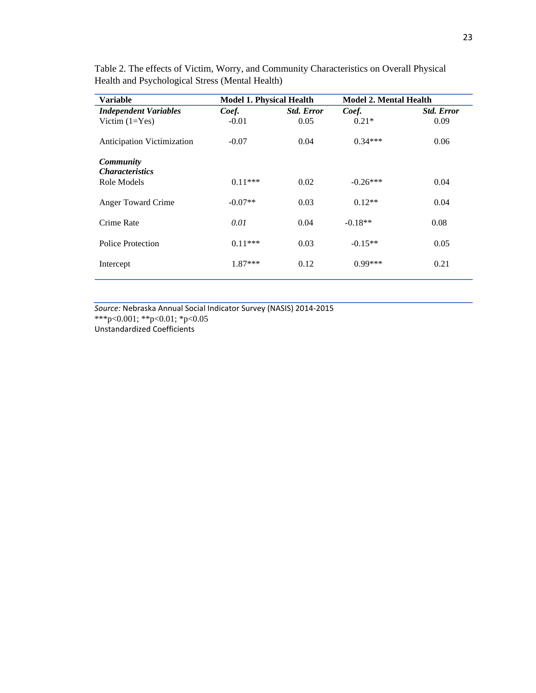|           | <b>Model 1. Physical Health</b> |            | <b>Model 2. Mental Health</b> |  |
|-----------|---------------------------------|------------|-------------------------------|--|
| Coef.     | <b>Std. Error</b>               | Coef.      | <b>Std. Error</b>             |  |
| $-0.01$   | 0.05                            | $0.21*$    | 0.09                          |  |
| $-0.07$   | 0.04                            | $0.34***$  | 0.06                          |  |
|           |                                 |            |                               |  |
| $0.11***$ | 0.02                            | $-0.26***$ | 0.04                          |  |
| $-0.07**$ | 0.03                            | $0.12**$   | 0.04                          |  |
| 0.01      | 0.04                            | $-0.18**$  | 0.08                          |  |
| $0.11***$ | 0.03                            | $-0.15**$  | 0.05                          |  |
| 1.87***   | 0.12                            | $0.99***$  | 0.21                          |  |
|           |                                 |            |                               |  |

Table 2. The effects of Victim, Worry, and Community Characteristics on Overall Physical Health and Psychological Stress (Mental Health)

*Source:* Nebraska Annual Social Indicator Survey (NASIS) 2014-2015 \*\*\*p<0.001; \*\*p<0.01; \*p<0.05 Unstandardized Coefficients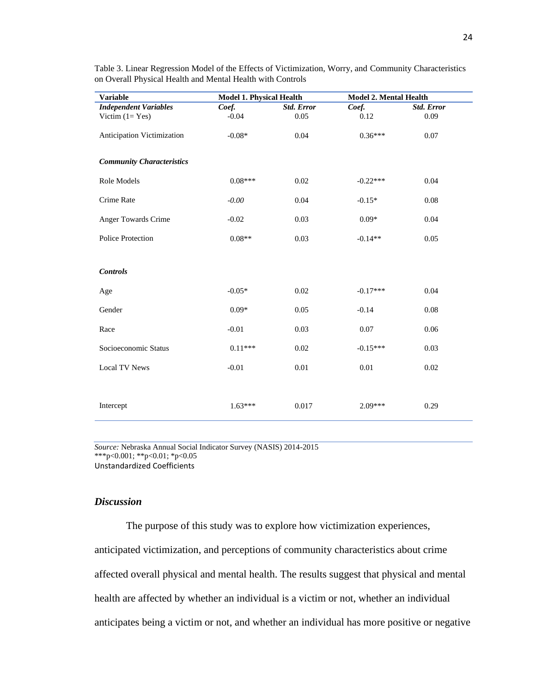| <b>Variable</b>                  | <b>Model 1. Physical Health</b> |                   | <b>Model 2. Mental Health</b> |                   |
|----------------------------------|---------------------------------|-------------------|-------------------------------|-------------------|
| <b>Independent Variables</b>     | Coef.                           | <b>Std. Error</b> | Coef.                         | <b>Std. Error</b> |
| Victim $(1 = Yes)$               | $-0.04$                         | 0.05              | 0.12                          | 0.09              |
| Anticipation Victimization       | $-0.08*$                        | 0.04              | $0.36***$                     | 0.07              |
| <b>Community Characteristics</b> |                                 |                   |                               |                   |
| Role Models                      | $0.08***$                       | 0.02              | $-0.22***$                    | 0.04              |
| Crime Rate                       | $-0.00$                         | 0.04              | $-0.15*$                      | 0.08              |
| Anger Towards Crime              | $-0.02$                         | 0.03              | $0.09*$                       | 0.04              |
| Police Protection                | $0.08**$                        | 0.03              | $-0.14**$                     | 0.05              |
| <b>Controls</b>                  |                                 |                   |                               |                   |
| Age                              | $-0.05*$                        | 0.02              | $-0.17***$                    | 0.04              |
| Gender                           | $0.09*$                         | 0.05              | $-0.14$                       | $0.08\,$          |
| Race                             | $-0.01$                         | 0.03              | 0.07                          | 0.06              |
| Socioeconomic Status             | $0.11***$                       | 0.02              | $-0.15***$                    | 0.03              |
| Local TV News                    | $-0.01$                         | $0.01\,$          | 0.01                          | 0.02              |
|                                  |                                 |                   |                               |                   |
| Intercept                        | $1.63***$                       | 0.017             | $2.09***$                     | 0.29              |

Table 3. Linear Regression Model of the Effects of Victimization, Worry, and Community Characteristics on Overall Physical Health and Mental Health with Controls

*Source:* Nebraska Annual Social Indicator Survey (NASIS) 2014-2015 \*\*\*p<0.001; \*\*p<0.01; \*p<0.05 Unstandardized Coefficients

# *Discussion*

The purpose of this study was to explore how victimization experiences, anticipated victimization, and perceptions of community characteristics about crime affected overall physical and mental health. The results suggest that physical and mental health are affected by whether an individual is a victim or not, whether an individual anticipates being a victim or not, and whether an individual has more positive or negative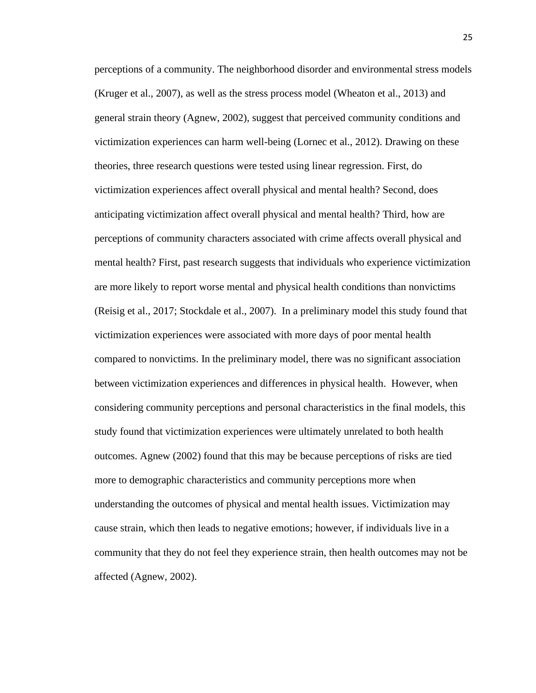perceptions of a community. The neighborhood disorder and environmental stress models (Kruger et al., 2007), as well as the stress process model (Wheaton et al., 2013) and general strain theory (Agnew, 2002), suggest that perceived community conditions and victimization experiences can harm well-being (Lornec et al., 2012). Drawing on these theories, three research questions were tested using linear regression. First, do victimization experiences affect overall physical and mental health? Second, does anticipating victimization affect overall physical and mental health? Third, how are perceptions of community characters associated with crime affects overall physical and mental health? First, past research suggests that individuals who experience victimization are more likely to report worse mental and physical health conditions than nonvictims (Reisig et al., 2017; Stockdale et al., 2007). In a preliminary model this study found that victimization experiences were associated with more days of poor mental health compared to nonvictims. In the preliminary model, there was no significant association between victimization experiences and differences in physical health. However, when considering community perceptions and personal characteristics in the final models, this study found that victimization experiences were ultimately unrelated to both health outcomes. Agnew (2002) found that this may be because perceptions of risks are tied more to demographic characteristics and community perceptions more when understanding the outcomes of physical and mental health issues. Victimization may cause strain, which then leads to negative emotions; however, if individuals live in a community that they do not feel they experience strain, then health outcomes may not be affected (Agnew, 2002).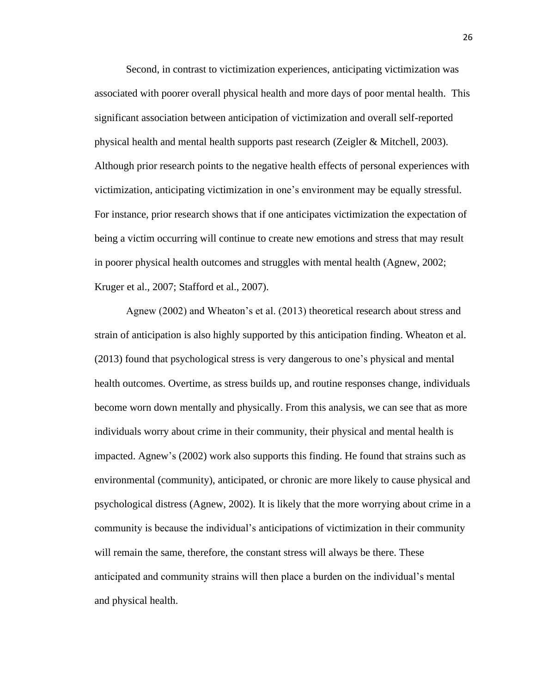Second, in contrast to victimization experiences, anticipating victimization was associated with poorer overall physical health and more days of poor mental health. This significant association between anticipation of victimization and overall self-reported physical health and mental health supports past research (Zeigler & Mitchell, 2003). Although prior research points to the negative health effects of personal experiences with victimization, anticipating victimization in one's environment may be equally stressful. For instance, prior research shows that if one anticipates victimization the expectation of being a victim occurring will continue to create new emotions and stress that may result in poorer physical health outcomes and struggles with mental health (Agnew, 2002; Kruger et al., 2007; Stafford et al., 2007).

Agnew (2002) and Wheaton's et al. (2013) theoretical research about stress and strain of anticipation is also highly supported by this anticipation finding. Wheaton et al. (2013) found that psychological stress is very dangerous to one's physical and mental health outcomes. Overtime, as stress builds up, and routine responses change, individuals become worn down mentally and physically. From this analysis, we can see that as more individuals worry about crime in their community, their physical and mental health is impacted. Agnew's (2002) work also supports this finding. He found that strains such as environmental (community), anticipated, or chronic are more likely to cause physical and psychological distress (Agnew, 2002). It is likely that the more worrying about crime in a community is because the individual's anticipations of victimization in their community will remain the same, therefore, the constant stress will always be there. These anticipated and community strains will then place a burden on the individual's mental and physical health.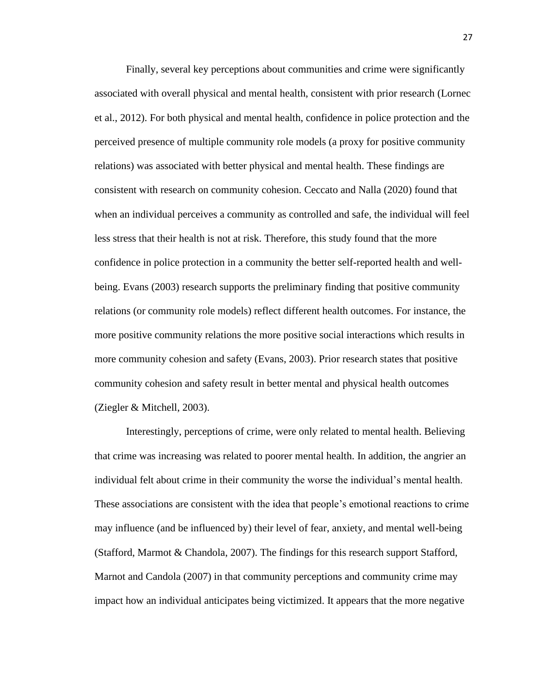Finally, several key perceptions about communities and crime were significantly associated with overall physical and mental health, consistent with prior research (Lornec et al., 2012). For both physical and mental health, confidence in police protection and the perceived presence of multiple community role models (a proxy for positive community relations) was associated with better physical and mental health. These findings are consistent with research on community cohesion. Ceccato and Nalla (2020) found that when an individual perceives a community as controlled and safe, the individual will feel less stress that their health is not at risk. Therefore, this study found that the more confidence in police protection in a community the better self-reported health and wellbeing. Evans (2003) research supports the preliminary finding that positive community relations (or community role models) reflect different health outcomes. For instance, the more positive community relations the more positive social interactions which results in more community cohesion and safety (Evans, 2003). Prior research states that positive community cohesion and safety result in better mental and physical health outcomes (Ziegler & Mitchell, 2003).

Interestingly, perceptions of crime, were only related to mental health. Believing that crime was increasing was related to poorer mental health. In addition, the angrier an individual felt about crime in their community the worse the individual's mental health. These associations are consistent with the idea that people's emotional reactions to crime may influence (and be influenced by) their level of fear, anxiety, and mental well-being (Stafford, Marmot & Chandola, 2007). The findings for this research support Stafford, Marnot and Candola (2007) in that community perceptions and community crime may impact how an individual anticipates being victimized. It appears that the more negative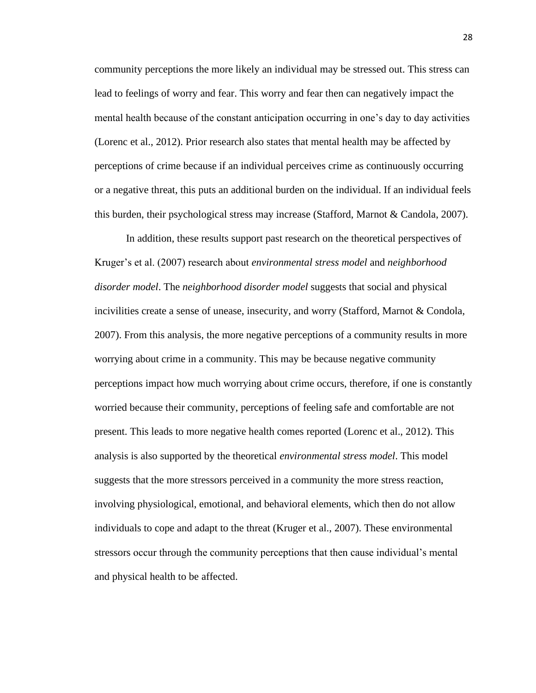community perceptions the more likely an individual may be stressed out. This stress can lead to feelings of worry and fear. This worry and fear then can negatively impact the mental health because of the constant anticipation occurring in one's day to day activities (Lorenc et al., 2012). Prior research also states that mental health may be affected by perceptions of crime because if an individual perceives crime as continuously occurring or a negative threat, this puts an additional burden on the individual. If an individual feels this burden, their psychological stress may increase (Stafford, Marnot & Candola, 2007).

In addition, these results support past research on the theoretical perspectives of Kruger's et al. (2007) research about *environmental stress model* and *neighborhood disorder model*. The *neighborhood disorder model* suggests that social and physical incivilities create a sense of unease, insecurity, and worry (Stafford, Marnot & Condola, 2007). From this analysis, the more negative perceptions of a community results in more worrying about crime in a community. This may be because negative community perceptions impact how much worrying about crime occurs, therefore, if one is constantly worried because their community, perceptions of feeling safe and comfortable are not present. This leads to more negative health comes reported (Lorenc et al., 2012). This analysis is also supported by the theoretical *environmental stress model*. This model suggests that the more stressors perceived in a community the more stress reaction, involving physiological, emotional, and behavioral elements, which then do not allow individuals to cope and adapt to the threat (Kruger et al., 2007). These environmental stressors occur through the community perceptions that then cause individual's mental and physical health to be affected.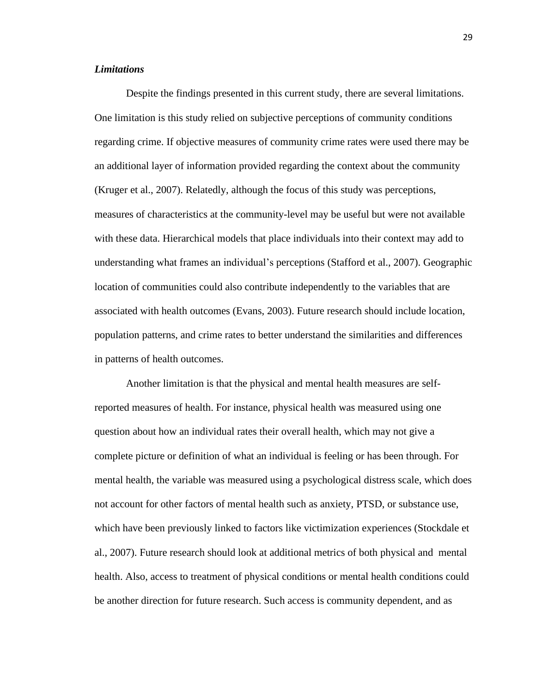# *Limitations*

Despite the findings presented in this current study, there are several limitations. One limitation is this study relied on subjective perceptions of community conditions regarding crime. If objective measures of community crime rates were used there may be an additional layer of information provided regarding the context about the community (Kruger et al., 2007). Relatedly, although the focus of this study was perceptions, measures of characteristics at the community-level may be useful but were not available with these data. Hierarchical models that place individuals into their context may add to understanding what frames an individual's perceptions (Stafford et al., 2007). Geographic location of communities could also contribute independently to the variables that are associated with health outcomes (Evans, 2003). Future research should include location, population patterns, and crime rates to better understand the similarities and differences in patterns of health outcomes.

Another limitation is that the physical and mental health measures are selfreported measures of health. For instance, physical health was measured using one question about how an individual rates their overall health, which may not give a complete picture or definition of what an individual is feeling or has been through. For mental health, the variable was measured using a psychological distress scale, which does not account for other factors of mental health such as anxiety, PTSD, or substance use, which have been previously linked to factors like victimization experiences (Stockdale et al., 2007). Future research should look at additional metrics of both physical and mental health. Also, access to treatment of physical conditions or mental health conditions could be another direction for future research. Such access is community dependent, and as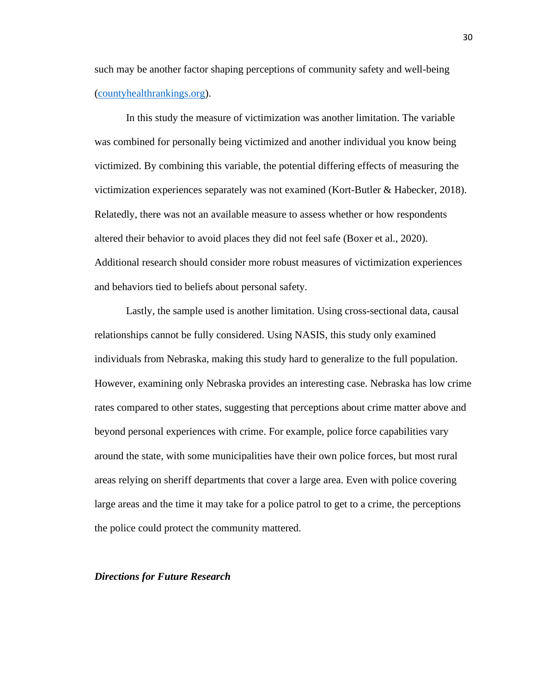such may be another factor shaping perceptions of community safety and well-being [\(countyhealthrankings.org\)](https://www.countyhealthrankings.org/app/nebraska/2021/measure/factors/4/policies).

In this study the measure of victimization was another limitation. The variable was combined for personally being victimized and another individual you know being victimized. By combining this variable, the potential differing effects of measuring the victimization experiences separately was not examined (Kort-Butler & Habecker, 2018). Relatedly, there was not an available measure to assess whether or how respondents altered their behavior to avoid places they did not feel safe (Boxer et al., 2020). Additional research should consider more robust measures of victimization experiences and behaviors tied to beliefs about personal safety.

Lastly, the sample used is another limitation. Using cross-sectional data, causal relationships cannot be fully considered. Using NASIS, this study only examined individuals from Nebraska, making this study hard to generalize to the full population. However, examining only Nebraska provides an interesting case. Nebraska has low crime rates compared to other states, suggesting that perceptions about crime matter above and beyond personal experiences with crime. For example, police force capabilities vary around the state, with some municipalities have their own police forces, but most rural areas relying on sheriff departments that cover a large area. Even with police covering large areas and the time it may take for a police patrol to get to a crime, the perceptions the police could protect the community mattered.

### *Directions for Future Research*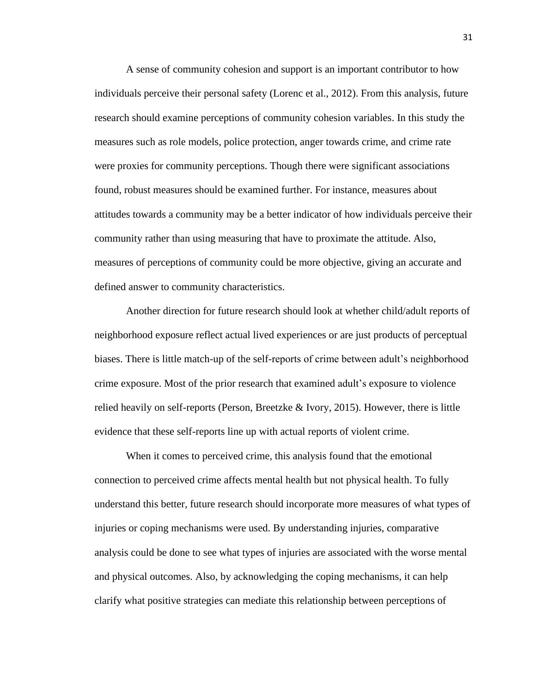A sense of community cohesion and support is an important contributor to how individuals perceive their personal safety (Lorenc et al., 2012). From this analysis, future research should examine perceptions of community cohesion variables. In this study the measures such as role models, police protection, anger towards crime, and crime rate were proxies for community perceptions. Though there were significant associations found, robust measures should be examined further. For instance, measures about attitudes towards a community may be a better indicator of how individuals perceive their community rather than using measuring that have to proximate the attitude. Also, measures of perceptions of community could be more objective, giving an accurate and defined answer to community characteristics.

Another direction for future research should look at whether child/adult reports of neighborhood exposure reflect actual lived experiences or are just products of perceptual biases. There is little match-up of the self-reports of crime between adult's neighborhood crime exposure. Most of the prior research that examined adult's exposure to violence relied heavily on self-reports (Person, Breetzke & Ivory, 2015). However, there is little evidence that these self-reports line up with actual reports of violent crime.

When it comes to perceived crime, this analysis found that the emotional connection to perceived crime affects mental health but not physical health. To fully understand this better, future research should incorporate more measures of what types of injuries or coping mechanisms were used. By understanding injuries, comparative analysis could be done to see what types of injuries are associated with the worse mental and physical outcomes. Also, by acknowledging the coping mechanisms, it can help clarify what positive strategies can mediate this relationship between perceptions of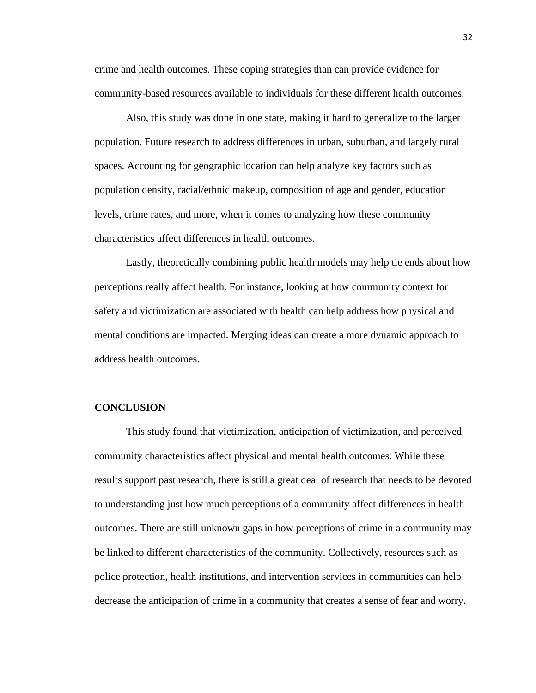crime and health outcomes. These coping strategies than can provide evidence for community-based resources available to individuals for these different health outcomes.

Also, this study was done in one state, making it hard to generalize to the larger population. Future research to address differences in urban, suburban, and largely rural spaces. Accounting for geographic location can help analyze key factors such as population density, racial/ethnic makeup, composition of age and gender, education levels, crime rates, and more, when it comes to analyzing how these community characteristics affect differences in health outcomes.

Lastly, theoretically combining public health models may help tie ends about how perceptions really affect health. For instance, looking at how community context for safety and victimization are associated with health can help address how physical and mental conditions are impacted. Merging ideas can create a more dynamic approach to address health outcomes.

# **CONCLUSION**

This study found that victimization, anticipation of victimization, and perceived community characteristics affect physical and mental health outcomes. While these results support past research, there is still a great deal of research that needs to be devoted to understanding just how much perceptions of a community affect differences in health outcomes. There are still unknown gaps in how perceptions of crime in a community may be linked to different characteristics of the community. Collectively, resources such as police protection, health institutions, and intervention services in communities can help decrease the anticipation of crime in a community that creates a sense of fear and worry.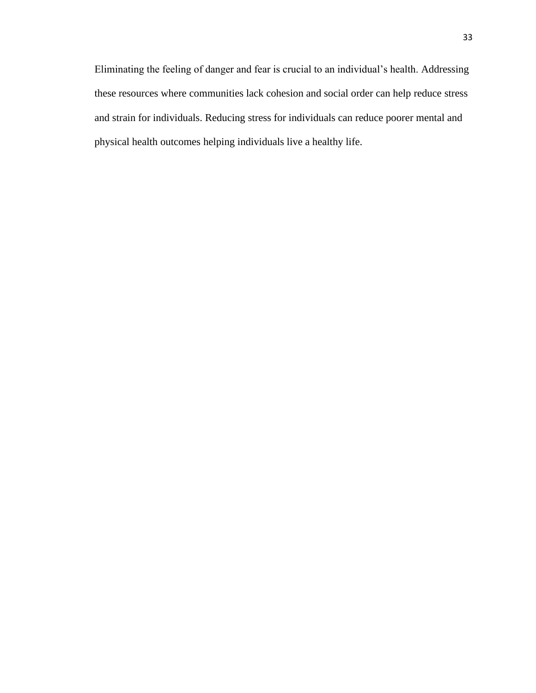Eliminating the feeling of danger and fear is crucial to an individual's health. Addressing these resources where communities lack cohesion and social order can help reduce stress and strain for individuals. Reducing stress for individuals can reduce poorer mental and physical health outcomes helping individuals live a healthy life.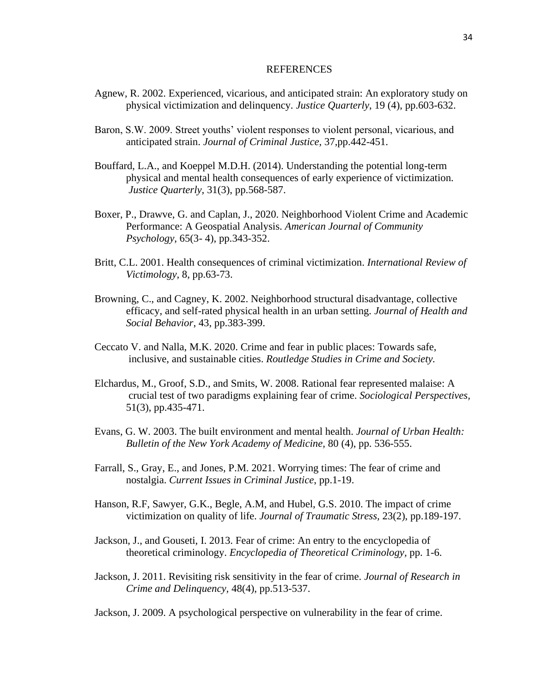#### REFERENCES

- Agnew, R. 2002. Experienced, vicarious, and anticipated strain: An exploratory study on physical victimization and delinquency. *Justice Quarterly*, 19 (4), pp.603-632.
- Baron, S.W. 2009. Street youths' violent responses to violent personal, vicarious, and anticipated strain. *Journal of Criminal Justice,* 37,pp.442-451.
- Bouffard, L.A., and Koeppel M.D.H. (2014). Understanding the potential long-term physical and mental health consequences of early experience of victimization*. Justice Quarterly*, 31(3), pp.568-587.
- Boxer, P., Drawve, G. and Caplan, J., 2020. Neighborhood Violent Crime and Academic Performance: A Geospatial Analysis. *American Journal of Community Psychology*, 65(3- 4), pp.343-352.
- Britt, C.L. 2001. Health consequences of criminal victimization. *International Review of Victimology,* 8, pp.63-73.
- Browning, C., and Cagney, K. 2002. Neighborhood structural disadvantage, collective efficacy, and self-rated physical health in an urban setting*. Journal of Health and Social Behavior*, 43, pp.383-399.
- Ceccato V. and Nalla, M.K. 2020. Crime and fear in public places: Towards safe, inclusive, and sustainable cities. *Routledge Studies in Crime and Society.*
- Elchardus, M., Groof, S.D., and Smits, W. 2008. Rational fear represented malaise: A crucial test of two paradigms explaining fear of crime. *Sociological Perspectives,*  51(3), pp.435-471.
- Evans, G. W. 2003. The built environment and mental health. *Journal of Urban Health: Bulletin of the New York Academy of Medicine,* 80 (4), pp. 536-555.
- Farrall, S., Gray, E., and Jones, P.M. 2021. Worrying times: The fear of crime and nostalgia. *Current Issues in Criminal Justice*, pp.1-19.
- Hanson, R.F, Sawyer, G.K., Begle, A.M, and Hubel, G.S. 2010. The impact of crime victimization on quality of life. *Journal of Traumatic Stress,* 23(2), pp.189-197.
- Jackson, J., and Gouseti, I. 2013. Fear of crime: An entry to the encyclopedia of theoretical criminology. *Encyclopedia of Theoretical Criminology,* pp. 1-6.
- Jackson, J. 2011. Revisiting risk sensitivity in the fear of crime. *Journal of Research in Crime and Delinquency,* 48(4), pp.513-537.
- Jackson, J. 2009. A psychological perspective on vulnerability in the fear of crime.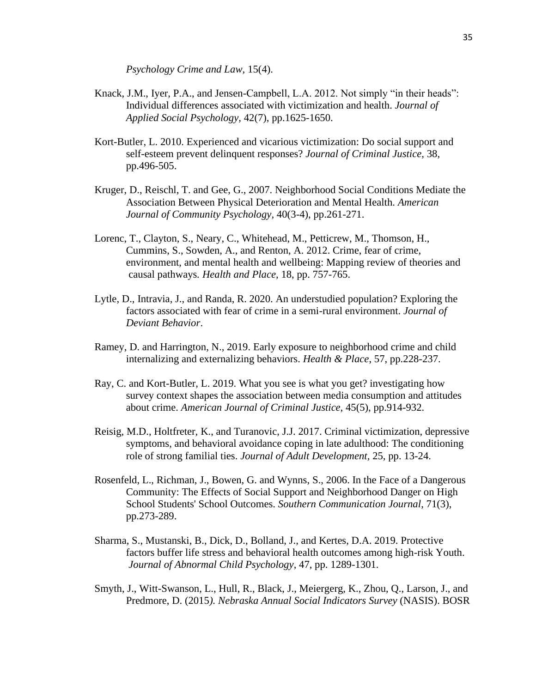*Psychology Crime and Law,* 15(4).

- Knack, J.M., Iyer, P.A., and Jensen-Campbell, L.A. 2012. Not simply "in their heads": Individual differences associated with victimization and health. *Journal of Applied Social Psychology,* 42(7), pp.1625-1650.
- Kort-Butler, L. 2010. Experienced and vicarious victimization: Do social support and self-esteem prevent delinquent responses? *Journal of Criminal Justice,* 38, pp.496-505.
- Kruger, D., Reischl, T. and Gee, G., 2007. Neighborhood Social Conditions Mediate the Association Between Physical Deterioration and Mental Health. *American Journal of Community Psychology,* 40(3-4), pp.261-271.
- Lorenc, T., Clayton, S., Neary, C., Whitehead, M., Petticrew, M., Thomson, H., Cummins, S., Sowden, A., and Renton, A. 2012. Crime, fear of crime, environment, and mental health and wellbeing: Mapping review of theories and causal pathways*. Health and Place*, 18, pp. 757-765.
- Lytle, D., Intravia, J., and Randa, R. 2020. An understudied population? Exploring the factors associated with fear of crime in a semi-rural environment. *Journal of Deviant Behavior*.
- Ramey, D. and Harrington, N., 2019. Early exposure to neighborhood crime and child internalizing and externalizing behaviors. *Health & Place*, 57, pp.228-237.
- Ray, C. and Kort-Butler, L. 2019. What you see is what you get? investigating how survey context shapes the association between media consumption and attitudes about crime. *American Journal of Criminal Justice,* 45(5), pp.914-932.
- Reisig, M.D., Holtfreter, K., and Turanovic, J.J. 2017. Criminal victimization, depressive symptoms, and behavioral avoidance coping in late adulthood: The conditioning role of strong familial ties. *Journal of Adult Development,* 25, pp. 13-24.
- Rosenfeld, L., Richman, J., Bowen, G. and Wynns, S., 2006. In the Face of a Dangerous Community: The Effects of Social Support and Neighborhood Danger on High School Students' School Outcomes. *Southern Communication Journal*, 71(3), pp.273-289.
- Sharma, S., Mustanski, B., Dick, D., Bolland, J., and Kertes, D.A. 2019. Protective factors buffer life stress and behavioral health outcomes among high-risk Youth. *Journal of Abnormal Child Psychology*, 47, pp. 1289-1301.
- Smyth, J., Witt-Swanson, L., Hull, R., Black, J., Meiergerg, K., Zhou, Q., Larson, J., and Predmore, D. (2015*). Nebraska Annual Social Indicators Survey* (NASIS). BOSR